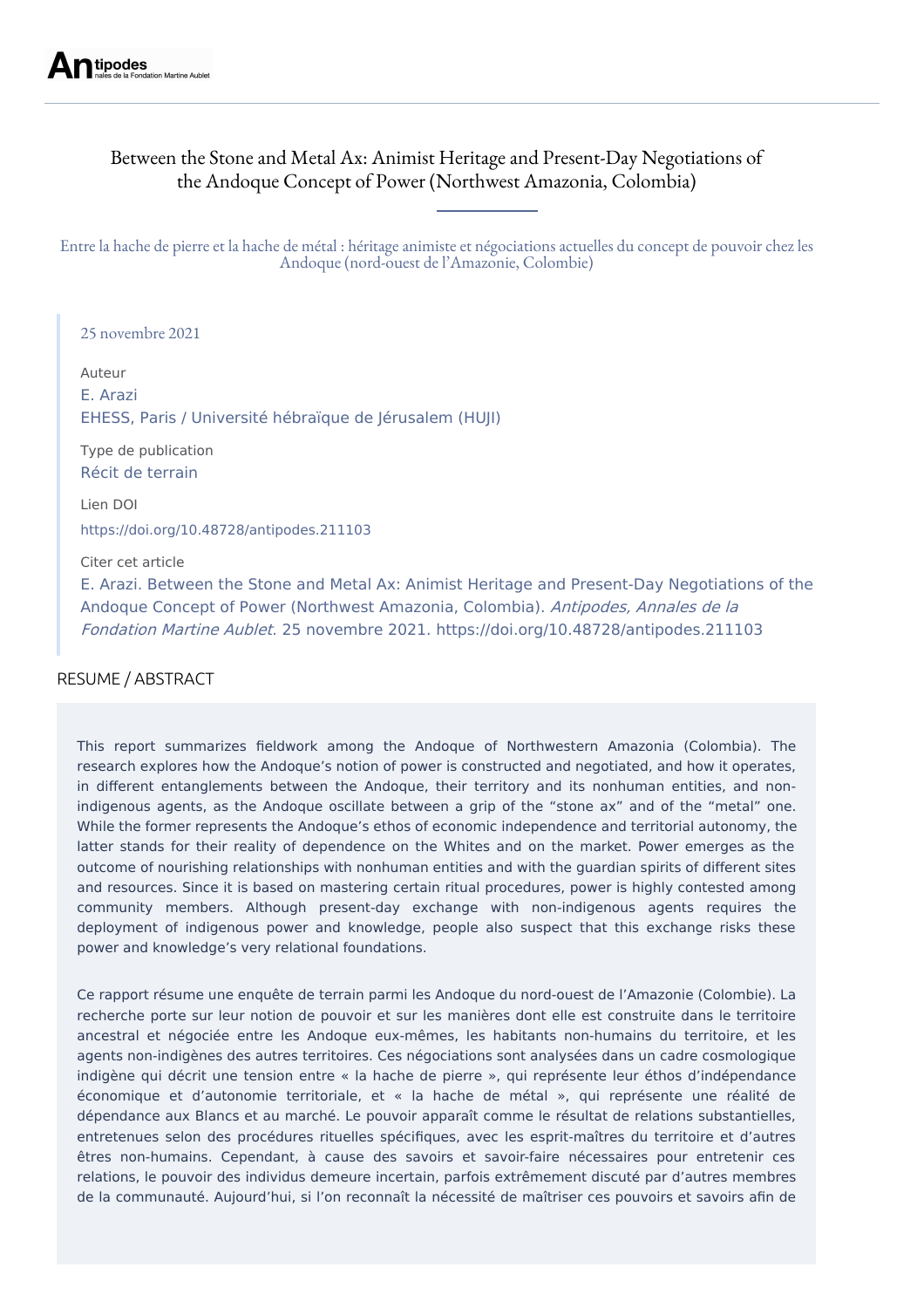# Between the Stone and Metal Ax: Animist Heritage and Present-Day Negotiations of the Andoque Concept of Power (Northwest Amazonia, Colombia)

Entre la hache de pierre et la hache de métal : héritage animiste et négociations actuelles du concept de pouvoir chez les Andoque (nord-ouest de l'Amazonie, Colombie)

25 novembre 2021

Auteur E. Arazi EHESS, Paris / Université hébraïque de Jérusalem (HUJI)

Type de publication Récit de terrain

Lien DOI <https://doi.org/10.48728/antipodes.211103>

Citer cet article

E. Arazi. Between the Stone and Metal Ax: Animist Heritage and Present-Day Negotiations of the Andoque Concept of Power (Northwest Amazonia, Colombia). Antipodes, Annales de la Fondation Martine Aublet. 25 novembre 2021. https://doi.org/10.48728/antipodes.211103

## RESUME / ABSTRACT

This report summarizes fieldwork among the Andoque of Northwestern Amazonia (Colombia). The research explores how the Andoque's notion of power is constructed and negotiated, and how it operates, in different entanglements between the Andoque, their territory and its nonhuman entities, and nonindigenous agents, as the Andoque oscillate between a grip of the "stone ax" and of the "metal" one. While the former represents the Andoque's ethos of economic independence and territorial autonomy, the latter stands for their reality of dependence on the Whites and on the market. Power emerges as the outcome of nourishing relationships with nonhuman entities and with the guardian spirits of different sites and resources. Since it is based on mastering certain ritual procedures, power is highly contested among community members. Although present-day exchange with non-indigenous agents requires the deployment of indigenous power and knowledge, people also suspect that this exchange risks these power and knowledge's very relational foundations.

Ce rapport résume une enquête de terrain parmi les Andoque du nord-ouest de l'Amazonie (Colombie). La recherche porte sur leur notion de pouvoir et sur les manières dont elle est construite dans le territoire ancestral et négociée entre les Andoque eux-mêmes, les habitants non-humains du territoire, et les agents non-indigènes des autres territoires. Ces négociations sont analysées dans un cadre cosmologique indigène qui décrit une tension entre « la hache de pierre », qui représente leur éthos d'indépendance économique et d'autonomie territoriale, et « la hache de métal », qui représente une réalité de dépendance aux Blancs et au marché. Le pouvoir apparaît comme le résultat de relations substantielles, entretenues selon des procédures rituelles spécifiques, avec les esprit-maîtres du territoire et d'autres êtres non-humains. Cependant, à cause des savoirs et savoir-faire nécessaires pour entretenir ces relations, le pouvoir des individus demeure incertain, parfois extrêmement discuté par d'autres membres de la communauté. Aujourd'hui, si l'on reconnaît la nécessité de maîtriser ces pouvoirs et savoirs afin de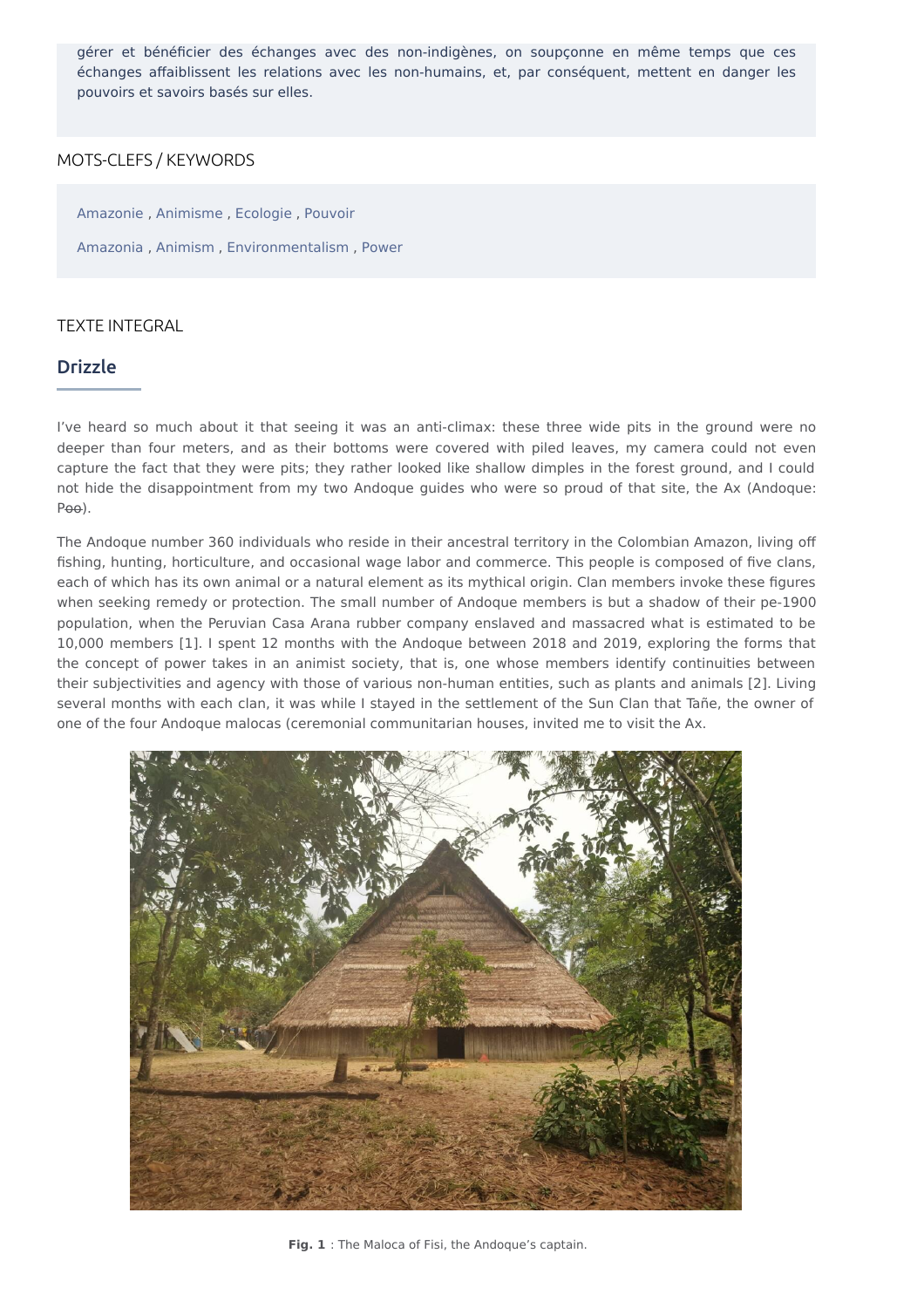gérer et bénéficier des échanges avec des non-indigènes, on soupçonne en même temps que ces échanges affaiblissent les relations avec les non-humains, et, par conséquent, mettent en danger les pouvoirs et savoirs basés sur elles.

### MOTS-CLEFS / KEYWORDS

[Amazonie](https://revue-antipodes.com/classement-par-tag?lang=fr&tags%5B%5D=Amazonie) , [Animisme](https://revue-antipodes.com/classement-par-tag?lang=fr&tags%5B%5D=Animisme) , [Ecologie](https://revue-antipodes.com/classement-par-tag?lang=fr&tags%5B%5D=Ecologie) , [Pouvoir](https://revue-antipodes.com/classement-par-tag?lang=fr&tags%5B%5D=Pouvoir) [Amazonia](https://revue-antipodes.com/classement-par-tag?lang=en&tags%5B%5D=Amazonia), [Animism](https://revue-antipodes.com/classement-par-tag?lang=en&tags%5B%5D=Animism), [Environmentalism](https://revue-antipodes.com/classement-par-tag?lang=en&tags%5B%5D=Environmentalism), [Power](https://revue-antipodes.com/classement-par-tag?lang=en&tags%5B%5D=Power)

### TEXTE INTEGRAL

### Drizzle

I've heard so much about it that seeing it was an anti-climax: these three wide pits in the ground were no deeper than four meters, and as their bottoms were covered with piled leaves, my camera could not even capture the fact that they were pits; they rather looked like shallow dimples in the forest ground, and I could not hide the disappointment from my two Andoque guides who were so proud of that site, the Ax (Andoque: Poo).

The Andoque number 360 individuals who reside in their ancestral territory in the Colombian Amazon, living off fishing, hunting, horticulture, and occasional wage labor and commerce. This people is composed of five clans, each of which has its own animal or a natural element as its mythical origin. Clan members invoke these figures when seeking remedy or protection. The small number of Andoque members is but a shadow of their pe-1900 population, when the Peruvian Casa Arana rubber company enslaved and massacred what is estimated to be 10,000 members [1]. I spent 12 months with the Andoque between 2018 and 2019, exploring the forms that the concept of power takes in an animist society, that is, one whose members identify continuities between their subjectivities and agency with those of various non-human entities, such as plants and animals [2]. Living several months with each clan, it was while I stayed in the settlement of the Sun Clan that Tañe, the owner of one of the four Andoque malocas (ceremonial communitarian houses, invited me to visit the Ax.



**Fig. 1** : The Maloca of Fisi, the Andoque's captain.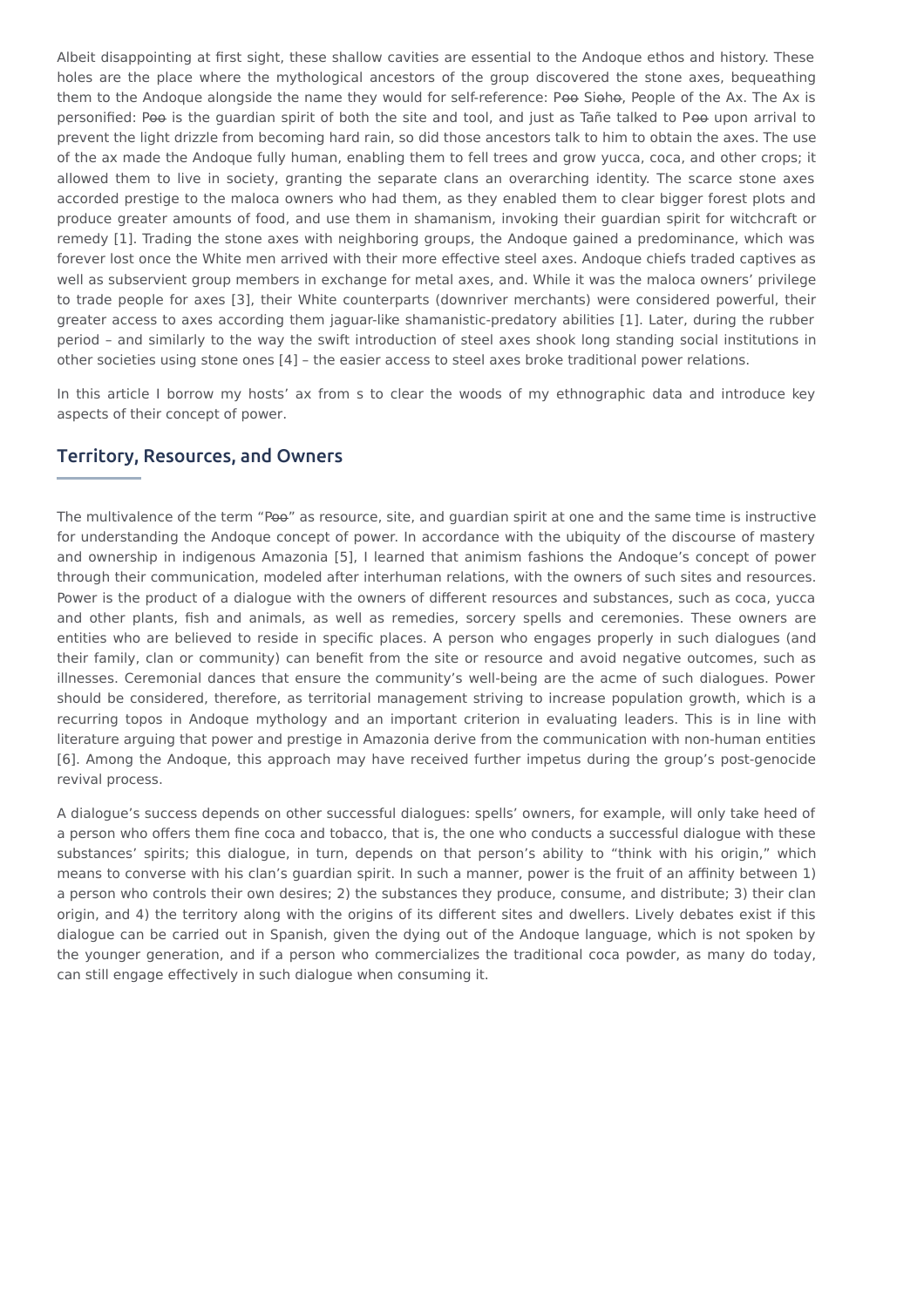Albeit disappointing at first sight, these shallow cavities are essential to the Andoque ethos and history. These holes are the place where the mythological ancestors of the group discovered the stone axes, bequeathing them to the Andoque alongside the name they would for self-reference: Poo Sioho, People of the Ax. The Ax is personified: Poo is the guardian spirit of both the site and tool, and just as Tañe talked to Poo upon arrival to prevent the light drizzle from becoming hard rain, so did those ancestors talk to him to obtain the axes. The use of the ax made the Andoque fully human, enabling them to fell trees and grow yucca, coca, and other crops; it allowed them to live in society, granting the separate clans an overarching identity. The scarce stone axes accorded prestige to the maloca owners who had them, as they enabled them to clear bigger forest plots and produce greater amounts of food, and use them in shamanism, invoking their guardian spirit for witchcraft or remedy [1]. Trading the stone axes with neighboring groups, the Andoque gained a predominance, which was forever lost once the White men arrived with their more effective steel axes. Andoque chiefs traded captives as well as subservient group members in exchange for metal axes, and. While it was the maloca owners' privilege to trade people for axes [3], their White counterparts (downriver merchants) were considered powerful, their greater access to axes according them jaguar-like shamanistic-predatory abilities [1]. Later, during the rubber period – and similarly to the way the swift introduction of steel axes shook long standing social institutions in other societies using stone ones [4] – the easier access to steel axes broke traditional power relations.

In this article I borrow my hosts' ax from s to clear the woods of my ethnographic data and introduce key aspects of their concept of power.

### Territory, Resources, and Owners

The multivalence of the term "Poo" as resource, site, and guardian spirit at one and the same time is instructive for understanding the Andoque concept of power. In accordance with the ubiquity of the discourse of mastery and ownership in indigenous Amazonia [5], I learned that animism fashions the Andoque's concept of power through their communication, modeled after interhuman relations, with the owners of such sites and resources. Power is the product of a dialogue with the owners of different resources and substances, such as coca, yucca and other plants, fish and animals, as well as remedies, sorcery spells and ceremonies. These owners are entities who are believed to reside in specific places. A person who engages properly in such dialogues (and their family, clan or community) can benefit from the site or resource and avoid negative outcomes, such as illnesses. Ceremonial dances that ensure the community's well-being are the acme of such dialogues. Power should be considered, therefore, as territorial management striving to increase population growth, which is a recurring topos in Andoque mythology and an important criterion in evaluating leaders. This is in line with literature arguing that power and prestige in Amazonia derive from the communication with non-human entities [6]. Among the Andoque, this approach may have received further impetus during the group's post-genocide revival process.

A dialogue's success depends on other successful dialogues: spells' owners, for example, will only take heed of a person who offers them fine coca and tobacco, that is, the one who conducts a successful dialogue with these substances' spirits; this dialogue, in turn, depends on that person's ability to "think with his origin," which means to converse with his clan's guardian spirit. In such a manner, power is the fruit of an affinity between 1) a person who controls their own desires; 2) the substances they produce, consume, and distribute; 3) their clan origin, and 4) the territory along with the origins of its different sites and dwellers. Lively debates exist if this dialogue can be carried out in Spanish, given the dying out of the Andoque language, which is not spoken by the younger generation, and if a person who commercializes the traditional coca powder, as many do today, can still engage effectively in such dialogue when consuming it.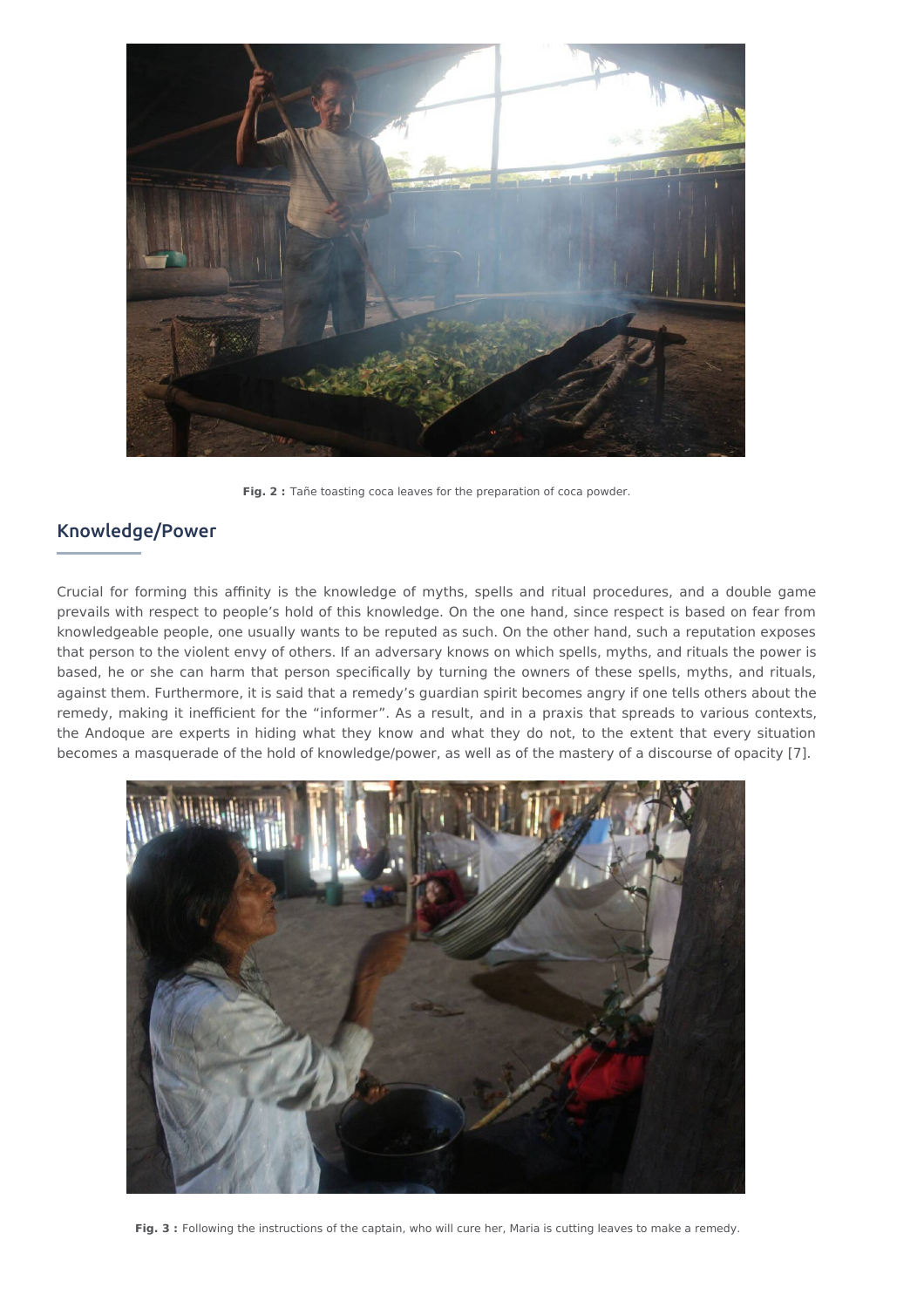

**Fig. 2 :** Tañe toasting coca leaves for the preparation of coca powder.

## Knowledge/Power

Crucial for forming this affinity is the knowledge of myths, spells and ritual procedures, and a double game prevails with respect to people's hold of this knowledge. On the one hand, since respect is based on fear from knowledgeable people, one usually wants to be reputed as such. On the other hand, such a reputation exposes that person to the violent envy of others. If an adversary knows on which spells, myths, and rituals the power is based, he or she can harm that person specifically by turning the owners of these spells, myths, and rituals, against them. Furthermore, it is said that a remedy's guardian spirit becomes angry if one tells others about the remedy, making it inefficient for the "informer". As a result, and in a praxis that spreads to various contexts, the Andoque are experts in hiding what they know and what they do not, to the extent that every situation becomes a masquerade of the hold of knowledge/power, as well as of the mastery of a discourse of opacity [7].



**Fig. 3 :** Following the instructions of the captain, who will cure her, Maria is cutting leaves to make a remedy.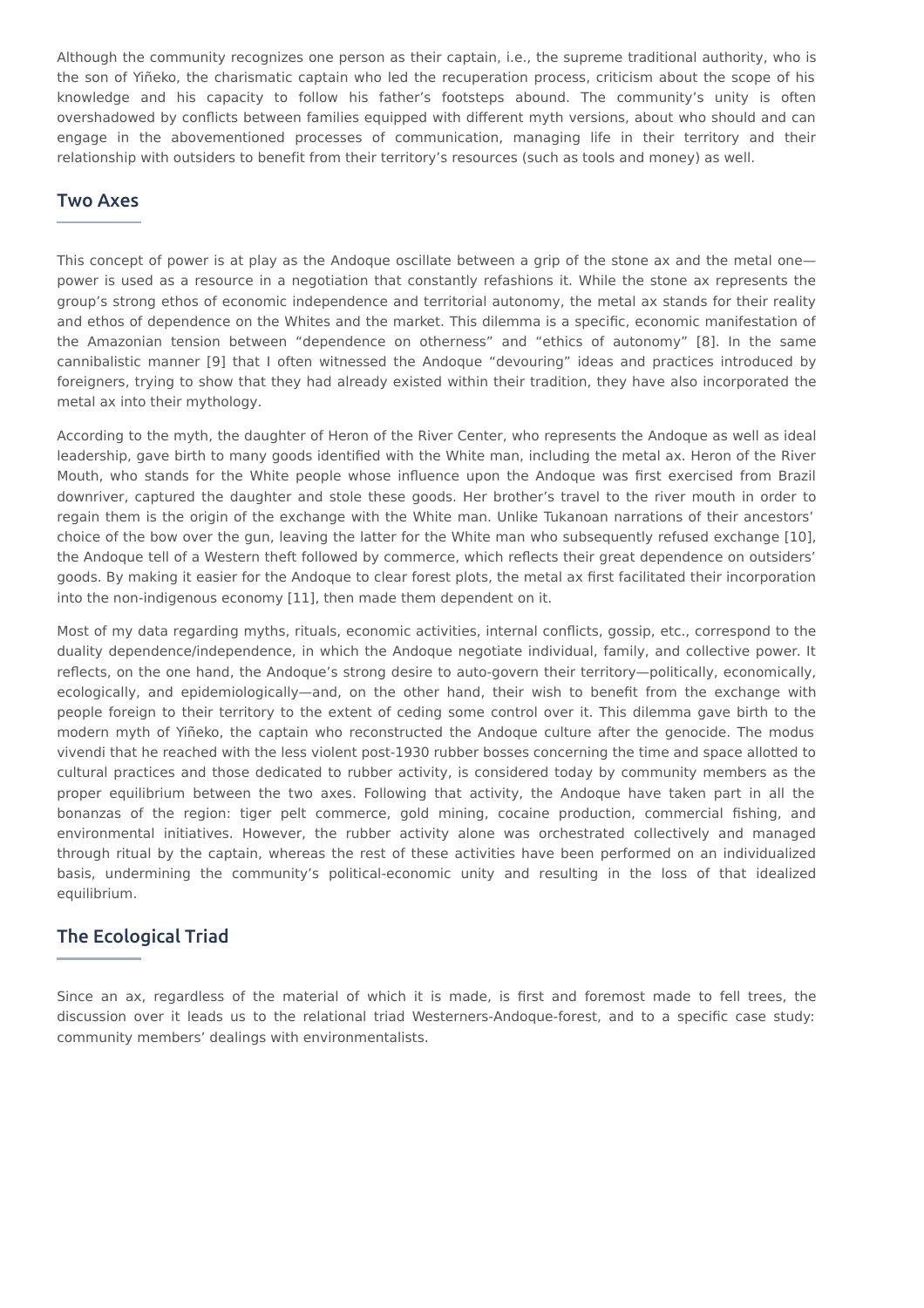Although the community recognizes one person as their captain, i.e., the supreme traditional authority, who is the son of Yiñeko, the charismatic captain who led the recuperation process, criticism about the scope of his knowledge and his capacity to follow his father's footsteps abound. The community's unity is often overshadowed by conflicts between families equipped with different myth versions, about who should and can engage in the abovementioned processes of communication, managing life in their territory and their relationship with outsiders to benefit from their territory's resources (such as tools and money) as well.

## Two Axes

This concept of power is at play as the Andoque oscillate between a grip of the stone ax and the metal one power is used as a resource in a negotiation that constantly refashions it. While the stone ax represents the group's strong ethos of economic independence and territorial autonomy, the metal ax stands for their reality and ethos of dependence on the Whites and the market. This dilemma is a specific, economic manifestation of the Amazonian tension between "dependence on otherness" and "ethics of autonomy" [8]. In the same cannibalistic manner [9] that I often witnessed the Andoque "devouring" ideas and practices introduced by foreigners, trying to show that they had already existed within their tradition, they have also incorporated the metal ax into their mythology.

According to the myth, the daughter of Heron of the River Center, who represents the Andoque as well as ideal leadership, gave birth to many goods identified with the White man, including the metal ax. Heron of the River Mouth, who stands for the White people whose influence upon the Andoque was first exercised from Brazil downriver, captured the daughter and stole these goods. Her brother's travel to the river mouth in order to regain them is the origin of the exchange with the White man. Unlike Tukanoan narrations of their ancestors' choice of the bow over the gun, leaving the latter for the White man who subsequently refused exchange [10], the Andoque tell of a Western theft followed by commerce, which reflects their great dependence on outsiders' goods. By making it easier for the Andoque to clear forest plots, the metal ax first facilitated their incorporation into the non-indigenous economy [11], then made them dependent on it.

Most of my data regarding myths, rituals, economic activities, internal conflicts, gossip, etc., correspond to the duality dependence/independence, in which the Andoque negotiate individual, family, and collective power. It reflects, on the one hand, the Andoque's strong desire to auto-govern their territory—politically, economically, ecologically, and epidemiologically—and, on the other hand, their wish to benefit from the exchange with people foreign to their territory to the extent of ceding some control over it. This dilemma gave birth to the modern myth of Yiñeko, the captain who reconstructed the Andoque culture after the genocide. The modus vivendi that he reached with the less violent post-1930 rubber bosses concerning the time and space allotted to cultural practices and those dedicated to rubber activity, is considered today by community members as the proper equilibrium between the two axes. Following that activity, the Andoque have taken part in all the bonanzas of the region: tiger pelt commerce, gold mining, cocaine production, commercial fishing, and environmental initiatives. However, the rubber activity alone was orchestrated collectively and managed through ritual by the captain, whereas the rest of these activities have been performed on an individualized basis, undermining the community's political-economic unity and resulting in the loss of that idealized equilibrium.

## The Ecological Triad

Since an ax, regardless of the material of which it is made, is first and foremost made to fell trees, the discussion over it leads us to the relational triad Westerners-Andoque-forest, and to a specific case study: community members' dealings with environmentalists.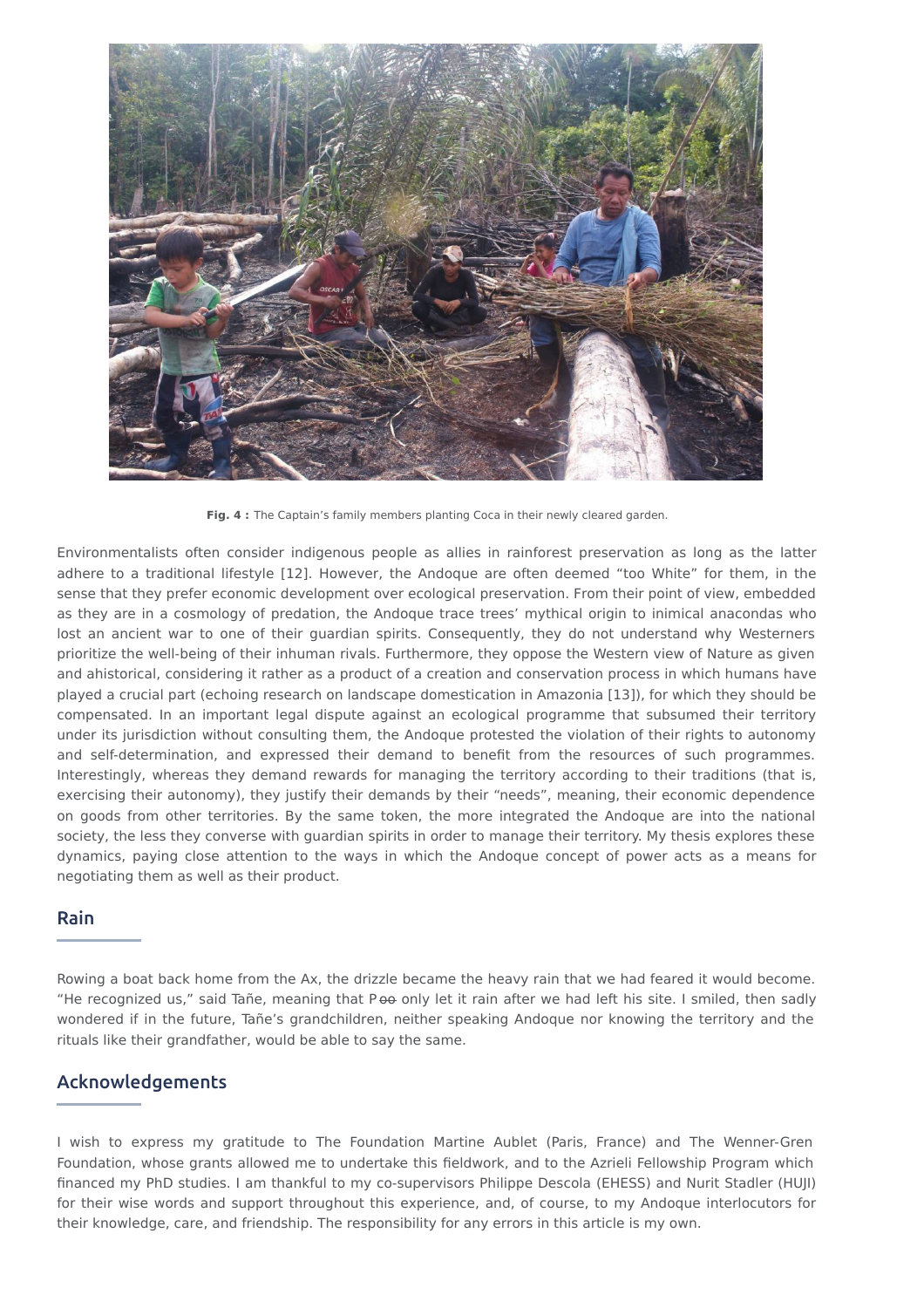

**Fig. 4 :** The Captain's family members planting Coca in their newly cleared garden.

Environmentalists often consider indigenous people as allies in rainforest preservation as long as the latter adhere to a traditional lifestyle [12]. However, the Andoque are often deemed "too White" for them, in the sense that they prefer economic development over ecological preservation. From their point of view, embedded as they are in a cosmology of predation, the Andoque trace trees' mythical origin to inimical anacondas who lost an ancient war to one of their guardian spirits. Consequently, they do not understand why Westerners prioritize the well-being of their inhuman rivals. Furthermore, they oppose the Western view of Nature as given and ahistorical, considering it rather as a product of a creation and conservation process in which humans have played a crucial part (echoing research on landscape domestication in Amazonia [13]), for which they should be compensated. In an important legal dispute against an ecological programme that subsumed their territory under its jurisdiction without consulting them, the Andoque protested the violation of their rights to autonomy and self-determination, and expressed their demand to benefit from the resources of such programmes. Interestingly, whereas they demand rewards for managing the territory according to their traditions (that is, exercising their autonomy), they justify their demands by their "needs", meaning, their economic dependence on goods from other territories. By the same token, the more integrated the Andoque are into the national society, the less they converse with guardian spirits in order to manage their territory. My thesis explores these dynamics, paying close attention to the ways in which the Andoque concept of power acts as a means for negotiating them as well as their product.

### Rain

Rowing a boat back home from the Ax, the drizzle became the heavy rain that we had feared it would become. "He recognized us," said Tañe, meaning that P o only let it rain after we had left his site. I smiled, then sadly wondered if in the future, Tañe's grandchildren, neither speaking Andoque nor knowing the territory and the rituals like their grandfather, would be able to say the same.

## Acknowledgements

I wish to express my gratitude to The Foundation Martine Aublet (Paris, France) and The Wenner-Gren Foundation, whose grants allowed me to undertake this fieldwork, and to the Azrieli Fellowship Program which financed my PhD studies. I am thankful to my co-supervisors Philippe Descola (EHESS) and Nurit Stadler (HUJI) for their wise words and support throughout this experience, and, of course, to my Andoque interlocutors for their knowledge, care, and friendship. The responsibility for any errors in this article is my own.